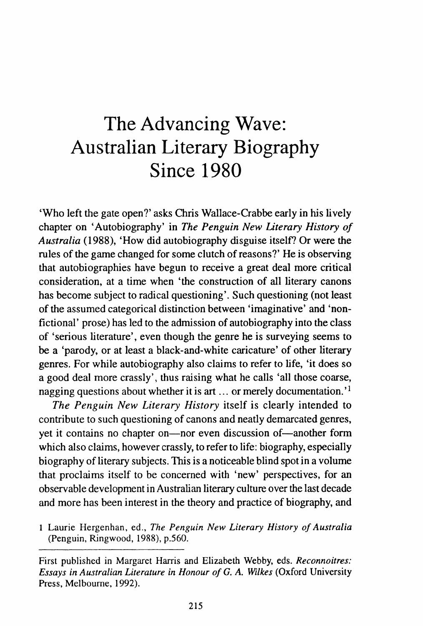## **The Advancing Wave: Australian Literary Biography Since 1980**

'Who left the gate open?' asks Chris Wallace-Crabbe early in his lively chapter on 'Autobiography' in *The Penguin New Literary History of Australia* (1988), 'How did autobiography disguise itself? Or were the rules of the game changed for some clutch of reasons?' He is observing that autobiographies have begun to receive a great deal more critical consideration, at a time when 'the construction of all literary canons has become subject to radical questioning'. Such questioning (not least of the assumed categorical distinction between 'imaginative' and 'nonfictional' prose) has led to the admission of autobiography into the class of 'serious literature', even though the genre he is surveying seems to be a 'parody, or at least a black-and-white caricature' of other literary genres. For while autobiography also claims to refer to life, 'it does so a good deal more crassly', thus raising what he calls 'all those coarse, nagging questions about whether it is art ... or merely documentation.<sup>'1</sup>

*The Penguin New Literary History* itself is clearly intended to contribute to such questioning of canons and neatly demarcated genres, yet it contains no chapter on—nor even discussion of—another form which also claims, however crassly, to refer to life: biography, especially biography of literary subjects. This is a noticeable blind spot in a volume that proclaims itself to be concerned with 'new' perspectives, for an observable development in Australian literary culture over the last decade and more has been interest in the theory and practice of biography, and

<sup>1</sup> Laurie Hergenhan, ed., *The Penguin New Literary History of Australia*  (Penguin, Ringwood, 1988), p.560.

First published in Margaret Harris and Elizabeth Webby, eds. *Reconnoitres: Essays in Australian Literature in Honour of G.* A. *Wilkes* (Oxford University Press, Melbourne, 1992).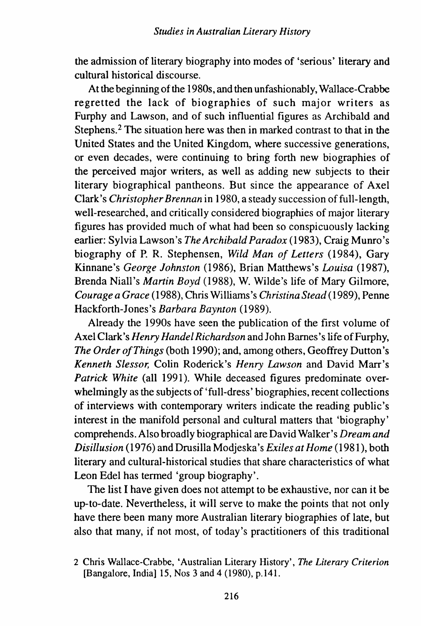the admission of literary biography into modes of 'serious' literary and cultural historical discourse.

At the beginning of the 1980s, and then unfashionably, Wallace-Crabbe regretted the lack of biographies of such major writers as Furphy and Lawson, and of such influential figures as Archibald and Stephens. 2 The situation here was then in marked contrast to that in the United States and the United Kingdom, where successive generations, or even decades, were continuing to bring forth new biographies of the perceived major writers, as well as adding new subjects to their literary biographical pantheons. But since the appearance of Axel Clark's *Christopher Brennan* in 1980, a steady succession of full-length, well-researched, and critically considered biographies of major literary figures has provided much of what had been so conspicuously lacking earlier: Sylvia Lawson's *The Archibald Paradox* (1983), Craig Munro's biography of P. R. Stephensen, *Wild Man of Letters* (1984), Gary Kinnane's *George Johnston* (1986), Brian Matthews's *Louisa* (1987), Brenda Niall's *Martin Boyd* (1988), W. Wilde's life of Mary Gilmore, *Courage a Grace* (1988), Chris Williams's *Christina Stead* (1989), Penne Hackforth-Jones's *Barbara Baynton* (1989).

Already the 1990s have seen the publication of the first volume of Axel Clark's *Henry Handel Richardson* and John Barnes's life of Furphy, *The Order ofThings* (both 1990); and, among others, Geoffrey Dutton's *Kenneth Slessor,* Colin Roderick's *Henry Lnwson* and David Marr's *Patrick White* (all 1991). While deceased figures predominate overwhelmingly as the subjects of 'full-dress' biographies, recent collections of interviews with contemporary writers indicate the reading public's interest in the manifold personal and cultural matters that 'biography' comprehends. Also broadly biographical are David Walker's *Dream and Disillusion* (1976) and Drusilla Modjeska's *Exiles at Home* (1981 ), both literary and cultural-historical studies that share characteristics of what Leon Edel has termed 'group biography'.

The list I have given does not attempt to be exhaustive, nor can it be up-to-date. Nevertheless, it will serve to make the points that not only have there been many more Australian literary biographies of late, but also that many, if not most, of today's practitioners of this traditional

<sup>2</sup> Chris Wallace-Crabbe, 'Australian Literary History', *The Literary Criterion* [Bangalore, India] 15, Nos 3 and 4 (1980), p.J41.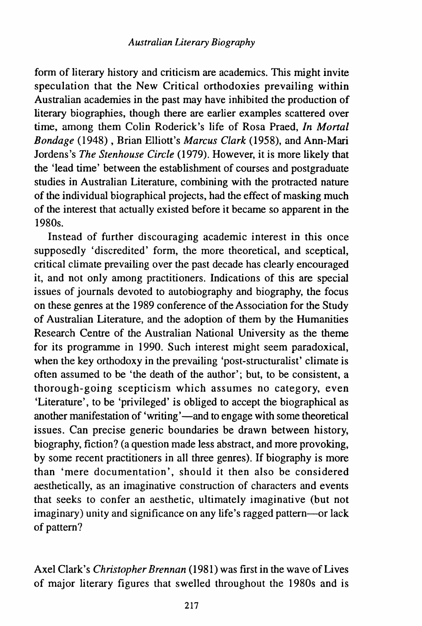form of literary history and criticism are academics. This might invite speculation that the New Critical orthodoxies prevailing within Australian academies in the past may have inhibited the production of literary biographies, though there are earlier examples scattered over time, among them Colin Roderick's life of Rosa Praed, *In Mortal Bondage* (1948), Brian Elliott's *Marcus Clark* (1958), and Ann-Mari Jordens's *The Stenhouse Circle* (1979). However, it is more likely that the 'lead time' between the establishment of courses and postgraduate studies in Australian Literature, combining with the protracted nature of the individual biographical projects, had the effect of masking much of the interest that actually existed before it became so apparent in the 1980s.

Instead of further discouraging academic interest in this once supposedly 'discredited' form, the more theoretical, and sceptical, critical climate prevailing over the past decade has clearly encouraged it, and not only among practitioners. Indications of this are special issues of journals devoted to autobiography and biography, the focus on these genres at the 1989 conference of the Association for the Study of Australian Literature, and the adoption of them by the Humanities Research Centre of the Australian National University as the theme for its programme in 1990. Such interest might seem paradoxical, when the key orthodoxy in the prevailing 'post-structuralist' climate is often assumed to be 'the death of the author'; but, to be consistent, a thorough-going scepticism which assumes no category, even 'Literature', to be 'privileged' is obliged to accept the biographical as another manifestation of 'writing'—and to engage with some theoretical issues. Can precise generic boundaries be drawn between history, biography, fiction? (a question made less abstract, and more provoking, by some recent practitioners in all three genres). If biography is more than 'mere documentation', should it then also be considered aesthetically, as an imaginative construction of characters and events that seeks to confer an aesthetic, ultimately imaginative (but not imaginary) unity and significance on any life's ragged pattern---- or lack of pattern?

Axel Clark's *Christopher Brennan* (1981) was first in the wave of Lives of major literary figures that swelled throughout the 1980s and is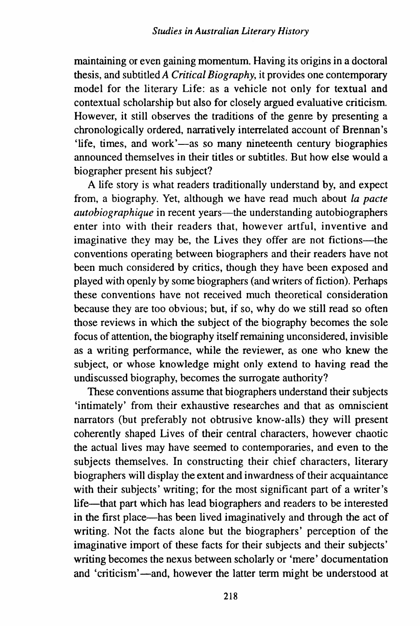maintaining or even gaining momentum. Having its origins in a doctoral thesis, and subtitled *A Critical Biography,* it provides one contemporary model for the literary Life: as a vehicle not only for textual and contextual scholarship but also for closely argued evaluative criticism. However, it still observes the traditions of the genre by presenting a chronologically ordered, narratively interrelated account of Brennan's 'life, times, and work'—as so many nineteenth century biographies announced themselves in their titles or subtitles. But how else would a biographer present his subject?

A life story is what readers traditionally understand by, and expect from, a biography. Yet, although we have read much about *Ia pacte autobiographique* in recent years—the understanding autobiographers enter into with their readers that, however artful, inventive and imaginative they may be, the Lives they offer are not fictions—the conventions operating between biographers and their readers have not been much considered by critics, though they have been exposed and played with openly by some biographers (and writers of fiction). Perhaps these conventions have not received much theoretical consideration because they are too obvious; but, if so, why do we still read so often those reviews in which the subject of the biography becomes the sole focus of attention, the biography itself remaining unconsidered, invisible as a writing performance, while the reviewer, as one who knew the subject, or whose knowledge might only extend to having read the undiscussed biography, becomes the surrogate authority?

These conventions assume that biographers understand their subjects 'intimately' from their exhaustive researches and that as omniscient narrators (but preferably not obtrusive know-ails) they will present coherently shaped Lives of their central characters, however chaotic the actual lives may have seemed to contemporaries, and even to the subjects themselves. In constructing their chief characters, literary biographers will display the extent and inwardness of their acquaintance with their subjects' writing; for the most significant part of a writer's life-that part which has lead biographers and readers to be interested in the first place-has been lived imaginatively and through the act of writing. Not the facts alone but the biographers' perception of the imaginative import of these facts for their subjects and their subjects' writing becomes the nexus between scholarly or 'mere' documentation and 'criticism'-and, however the latter term might be understood at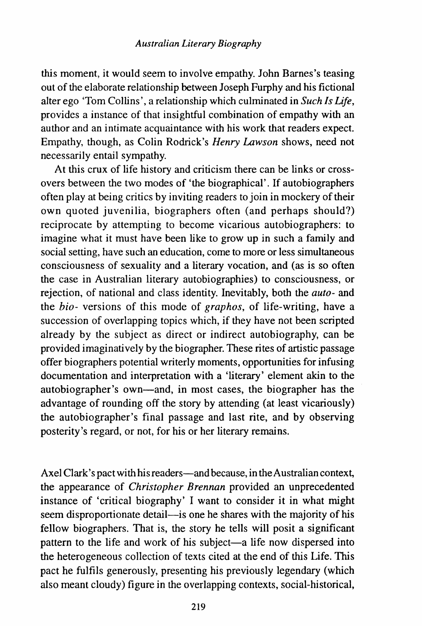## *Australian Literary Biography*

this moment, it would seem to involve empathy. John Barnes's teasing out of the elaborate relationship between Joseph Furphy and his fictional alter ego 'Tom Collins', a relationship which culminated in *Such Is life,*  provides a instance of that insightful combination of empathy with an author and an intimate acquaintance with his work that readers expect. Empathy, though, as Colin Rodrick's *Henry Lawson* shows, need not necessarily entail sympathy.

At this crux of life history and criticism there can be links or crossovers between the two modes of 'the biographical'. If autobiographers often play at being critics by inviting readers to join in mockery of their own quoted juvenilia, biographers often (and perhaps should?) reciprocate by attempting to become vicarious autobiographers: to imagine what it must have been like to grow up in such a family and social setting, have such an education, come to more or less simultaneous consciousness of sexuality and a literary vocation, and (as is so often the case in Australian literary autobiographies) to consciousness, or rejection, of national and class identity. Inevitably, both the *auto-* and the *bio-* versions of this mode of *graphos,* of life-writing, have a succession of overlapping topics which, if they have not been scripted already by the subject as direct or indirect autobiography, can be provided imaginatively by the biographer. These rites of artistic passage offer biographers potential writerly moments, opportunities for infusing documentation and interpretation with a 'literary' element akin to the autobiographer's own-and, in most cases, the biographer has the advantage of rounding off the story by attending (at least vicariously) the autobiographer's final passage and last rite, and by observing posterity's regard, or not, for his or her literary remains.

Axel Clark's pact with his readers-and because, in the Australian context, the appearance of *Christopher Brennan* provided an unprecedented instance of 'critical biography' I want to consider it in what might seem disproportionate detail-is one he shares with the majority of his fellow biographers. That is, the story he tells will posit a significant pattern to the life and work of his subject-a life now dispersed into the heterogeneous collection of texts cited at the end of this Life. This pact he fulfils generously, presenting his previously legendary (which also meant cloudy) figure in the overlapping contexts, social-historical,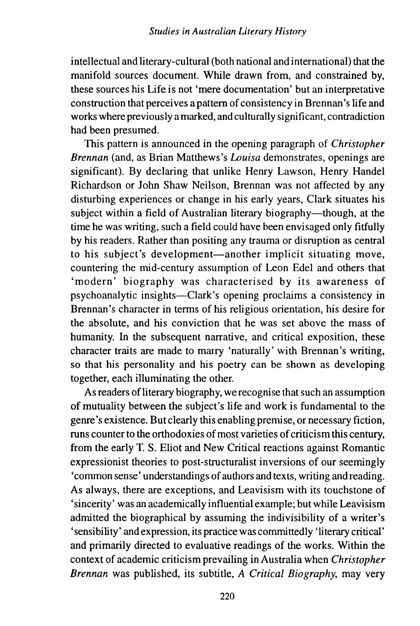intellectual and literary-cultural (both national and international) that the manifold sources document. While drawn from, and constrained by, these sources his Life is not 'mere documentation' but an interpretative construction that perceives a pattern of consistency in Brennan's life and works where previously a marked, and culturally significant, contradiction had been presumed.

This pattern is announced in the opening paragraph of *Christopher Brennan* (and, as Brian Matthews's *Louisa* demonstrates, openings are significant). By declaring that unlike Henry Lawson, Henry Handel Richardson or John Shaw Neilson, Brennan was not affected by any disturbing experiences or change in his early years, Clark situates his subject within a field of Australian literary biography—though, at the time he was writing, such a field could have been envisaged only fitfully by his readers. Rather than positing any trauma or disruption as central to his subject's development-another implicit situating move, countering the mid-century assumption of Leon Edel and others that 'modern' biography was characterised by its awareness of psychoanalytic insights-Clark's opening proclaims a consistency in Brennan's character in terms of his religious orientation, his desire for the absolute, and his conviction that he was set above the mass of humanity. In the subsequent narrative, and critical exposition, these character traits are made to marry 'naturally' with Brennan's writing, so that his personality and his poetry can be shown as developing together, each illuminating the other.

As readers of literary biography, we recognise that such an assumption of mutuality between the subject's life and work is fundamental to the genre's existence. But clearly this enabling premise, or necessary fiction, runs counter to the orthodoxies of most varieties of criticism this century, from the early T. S. Eliot and New Critical reactions against Romantic expressionist theories to post-structuralist inversions of our seemingly 'common sense' understandings of authors and texts, writing and reading. As always, there are exceptions, and Leavisism with its touchstone of 'sincerity' was an academically influential example; but while Leavisism admitted the biographical by assuming the indivisibility of a writer's 'sensibility' and expression, its practice was committedly 'literary critical' and primarily directed to evaluative readings of the works. Within the context of academic criticism prevailing in Australia when *Christopher Brennan* was published, its subtitle, *A Critical Biography,* may very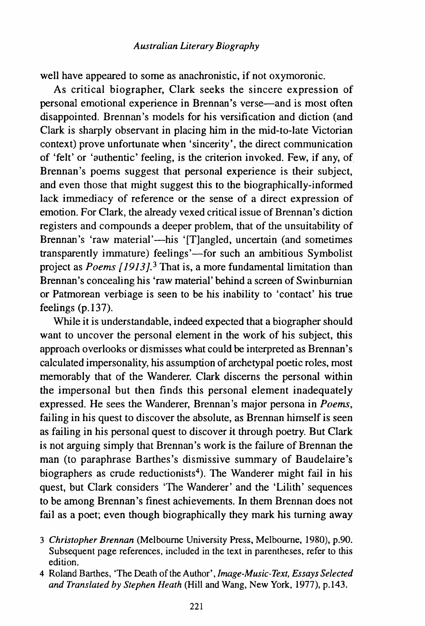well have appeared to some as anachronistic, if not oxymoronic.

As critical biographer, Clark seeks the sincere expression of personal emotional experience in Brennan's verse—and is most often disappointed. Brennan's models for his versification and diction (and Clark is sharply observant in placing him in the mid-to-late Victorian context) prove unfortunate when 'sincerity', the direct communication of 'felt' or 'authentic' feeling, is the criterion invoked. Few, if any, of Brennan's poems suggest that personal experience is their subject, and even those that might suggest this to the biographically-informed lack immediacy of reference or the sense of a direct expression of emotion. For Clark, the already vexed critical issue of Brennan's diction registers and compounds a deeper problem, that of the unsuitability of Brennan's 'raw material'—his '[T]angled, uncertain (and sometimes transparently immature) feelings'—for such an ambitious Symbolist project as *Poems [ 1913].3* That is, a more fundamental limitation than Brennan's concealing his 'raw material' behind a screen of Swinburnian or Patmorean verbiage is seen to be his inability to 'contact' his true feelings  $(p.137)$ .

While it is understandable, indeed expected that a biographer should want to uncover the personal element in the work of his subject, this approach overlooks or dismisses what could be interpreted as Brennan's calculated impersonality, his assumption of archetypal poetic roles, most memorably that of the Wanderer. Clark discerns the personal within the impersonal but then finds this personal element inadequately expressed. He sees the Wanderer, Brennan's major persona in *Poems,*  failing in his quest to discover the absolute, as Brennan himself is seen as failing in his personal quest to discover it through poetry. But Clark is not arguing simply that Brennan's work is the failure of Brennan the man (to paraphrase Barthes's dismissive summary of Baudelaire's biographers as crude reductionists<sup>4</sup>). The Wanderer might fail in his quest, but Clark considers 'The Wanderer' and the 'Lilith' sequences to be among Brennan's finest achievements. In them Brennan does not fail as a poet; even though biographically they mark his turning away

- 3 *Christopher Brennan* (Melbourne University Press, Melbourne, 1980), p.90. Subsequent page references, included in the text in parentheses, refer to this edition.
- 4 Roland Barthes, 'The Death of the Author', */mage-Music-Text, Essays Selected and Translated by Stephen Heath* (Hill and Wang, New York, 1977), p.l43.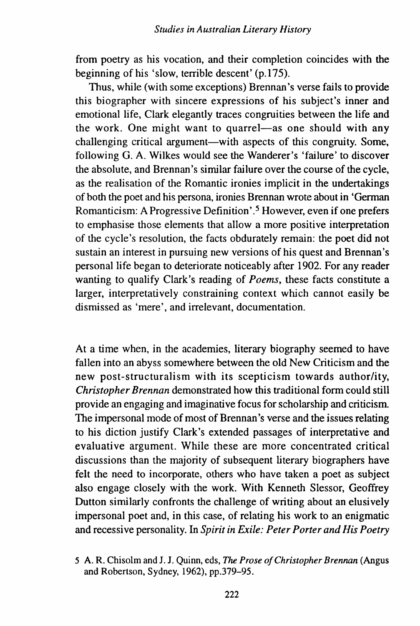from poetry as his vocation, and their completion coincides with the beginning of his 'slow, terrible descent' (p.l75).

Thus, while (with some exceptions) Brennan's verse fails to provide this biographer with sincere expressions of his subject's inner and emotional life, Clark elegantly traces congruities between the life and the work. One might want to quarrel-as one should with any challenging critical argument-with aspects of this congruity. Some, following G. A. Wilkes would see the Wanderer's 'failure' to discover the absolute, and Brennan's similar failure over the course of the cycle, as the realisation of the Romantic ironies implicit in the undertakings of both the poet and his persona, ironies Brennan wrote about in 'German Romanticism: A Progressive Definition'. 5 However, even if one prefers to emphasise those elements that allow a more positive interpretation of the cycle's resolution, the facts obdurately remain: the poet did not sustain an interest in pursuing new versions of his quest and Brennan's personal life began to deteriorate noticeably after 1902. For any reader wanting to qualify Clark's reading of *Poems,* these facts constitute a larger, interpretatively constraining context which cannot easily be dismissed as 'mere', and irrelevant, documentation.

At a time when, in the academies, literary biography seemed to have fallen into an abyss somewhere between the old New Criticism and the new post-structuralism with its scepticism towards author/ity, *Christopher Brennan* demonstrated how this traditional form could still provide an engaging and imaginative focus for scholarship and criticism. The impersonal mode of most of Brennan's verse and the issues relating to his diction justify Clark's extended passages of interpretative and evaluative argument. While these are more concentrated critical discussions than the majority of subsequent literary biographers have felt the need to incorporate, others who have taken a poet as subject also engage closely with the work. With Kenneth Slessor, Geoffrey Dutton similarly confronts the challenge of writing about an elusively impersonal poet and, in this case, of relating his work to an enigmatic and recessive personality. In *Spirit in Exile: Peter Porter and His Poetry* 

*<sup>5</sup>* A. R. Chisolm and J. J. Quinn, eds, *The Prose of Christopher Brennan* (Angus and Robertson, Sydney, 1962), pp.379-95.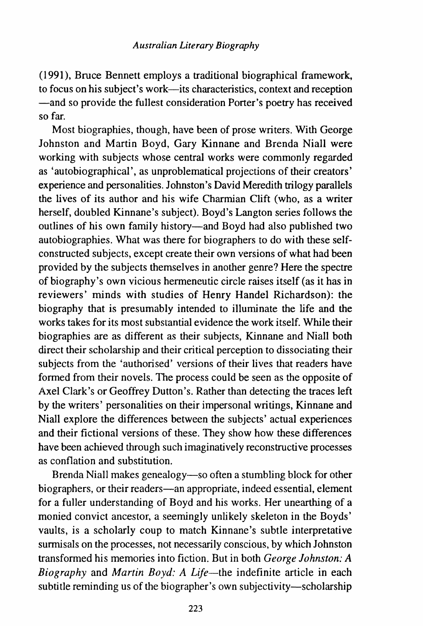(1991), Bruce Bennett employs a traditional biographical framework, to focus on his subject's work-its characteristics, context and reception -and so provide the fullest consideration Porter's poetry has received so far.

Most biographies, though, have been of prose writers. With George Johnston and Martin Boyd, Gary Kinnane and Brenda Niall were working with subjects whose central works were commonly regarded as 'autobiographical', as unproblematical projections of their creators' experience and personalities. Johnston's David Meredith trilogy parallels the lives of its author and his wife Charmian Clift (who, as a writer herself, doubled Kinnane's subject). Boyd's Langton series follows the outlines of his own family history-and Boyd had also published two autobiographies. What was there for biographers to do with these selfconstructed subjects, except create their own versions of what had been provided by the subjects themselves in another genre? Here the spectre of biography's own vicious hermeneutic circle raises itself (as it has in reviewers' minds with studies of Henry Handel Richardson): the biography that is presumably intended to illuminate the life and the works takes for its most substantial evidence the work itself. While their biographies are as different as their subjects, Kinnane and Niall both direct their scholarship and their critical perception to dissociating their subjects from the 'authorised' versions of their lives that readers have formed from their novels. The process could be seen as the opposite of Axel Clark's or Geoffrey Dutton's. Rather than detecting the traces left by the writers' personalities on their impersonal writings, Kinnane and Niall explore the differences between the subjects' actual experiences and their fictional versions of these. They show how these differences have been achieved through such imaginatively reconstructive processes as conflation and substitution.

Brenda Niall makes genealogy—so often a stumbling block for other biographers, or their readers—an appropriate, indeed essential, element for a fuller understanding of Boyd and his works. Her unearthing of a monied convict ancestor, a seemingly unlikely skeleton in the Boyds' vaults, is a scholarly coup to match Kinnane's subtle interpretative surmisals on the processes, not necessarily conscious, by which Johnston transformed his memories into fiction. But in both *George Johnston: A Biography* and *Martin Boyd: A Life-the* indefinite article in each subtitle reminding us of the biographer's own subjectivity-scholarship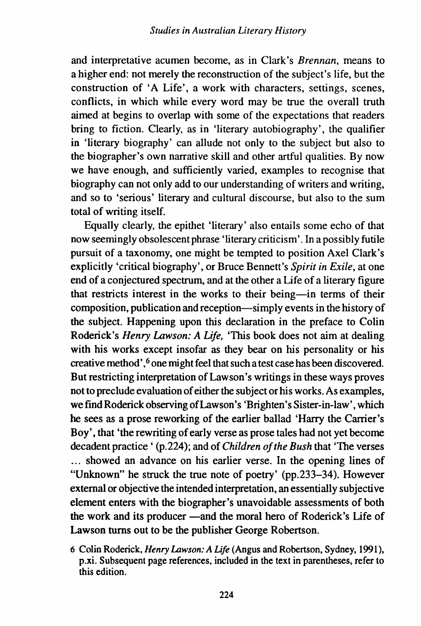and interpretative acumen become, as in Clark's *Brennan,* means to a higher end: not merely the reconstruction of the subject's life, but the construction of 'A Life', a work with characters, settings, scenes, conflicts, in which while every word may be true the overall truth aimed at begins to overlap with some of the expectations that readers bring to fiction. Clearly, as in 'literary autobiography', the qualifier in 'literary biography' can allude not only to the subject but also to the biographer's own narrative skill and other artful qualities. By now we have enough, and sufficiently varied, examples to recognise that biography can not only add to our understanding of writers and writing, and so to 'serious' literary and cultural discourse, but also to the sum total of writing itself.

Equally clearly, the epithet 'literary' also entails some echo of that now seemingly obsolescent phrase 'literary criticism'. In a possibly futile pursuit of a taxonomy, one might be tempted to position Axel Clark's explicitly 'critical biography', or Bruce Bennett's *Spirit in Exile,* at one end of a conjectured spectrum. and at the other a Life of a literary figure that restricts interest in the works to their being-in terms of their composition, publication and reception-simply events in the history of the subject. Happening upon this declaration in the preface to Colin Roderick's *Henry Lawson: A Life,* 'This book does not aim at dealing with his works except insofar as they bear on his personality or his creative method', 6 one might feel that such a test case has been discovered. But restricting interpretation of Lawson's writings in these ways proves not to preclude evaluation of either the subject or his works. As examples, we find Roderick observing of Lawson's 'Brighten's Sister-in-law', which he sees as a prose reworking of the earlier ballad 'Harry the Carrier's Boy', that 'the rewriting of early verse as prose tales had not yet become decadent practice' (p.224); and of *Children of the Bush* that 'The verses ... showed an advance on his earlier verse. In the opening lines of "Unknown" he struck the true note of poetry' (pp.233-34). However external or objective the intended interpretation, an essentially subjective element enters with the biographer's unavoidable assessments of both the work and its producer —and the moral hero of Roderick's Life of Lawson turns out to be the publisher George Robertson.

<sup>6</sup> Colin Roderick, *Henry Lawson: A Life* (Angus and Robertson, Sydney, 1991 ), p.xi. Subsequent page references, included in the text in parentheses, refer to this edition.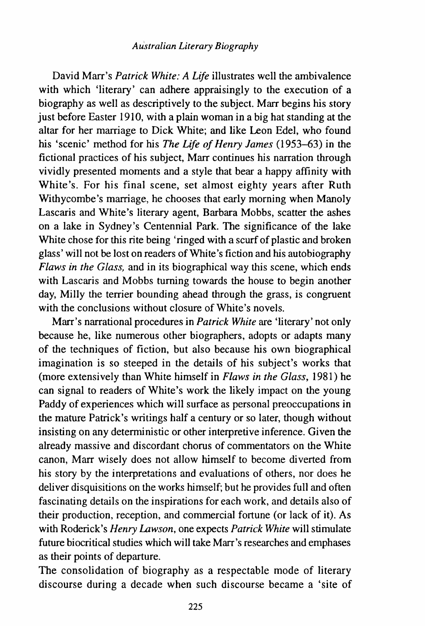## *Australian Literary Biography*

David Marr's *Patrick White: A Life* illustrates well the ambivalence with which 'literary' can adhere appraisingly to the execution of a biography as well as descriptively to the subject. Marr begins his story just before Easter 1910, with a plain woman in a big hat standing at the altar for her marriage to Dick White; and like Leon Edel, who found his 'scenic' method for his *The Life of Henry James* (1953-63) in the fictional practices of his subject, Marr continues his narration through vividly presented moments and a style that bear a happy affinity with White's. For his final scene, set almost eighty years after Ruth Withycombe's marriage, he chooses that early morning when Manoly Lascaris and White's literary agent, Barbara Mobbs, scatter the ashes on a lake in Sydney's Centennial Park. The significance of the lake White chose for this rite being 'ringed with a scurf of plastic and broken glass' will not be lost on readers of White's fiction and his autobiography *Flaws in the Glass,* and in its biographical way this scene, which ends with Lascaris and Mobbs turning towards the house to begin another day, Milly the terrier bounding ahead through the grass, is congruent with the conclusions without closure of White's novels.

Marr's narrational procedures in *Patrick White* are 'literary' not only because he, like numerous other biographers, adopts or adapts many of the techniques of fiction, but also because his own biographical imagination is so steeped in the details of his subject's works that (more extensively than White himself in *Flaws in the Glass*, 1981) he can signal to readers of White's work the likely impact on the young Paddy of experiences which will surface as personal preoccupations in the mature Patrick's writings half a century or so later, though without insisting on any deterministic or other interpretive inference. Given the already massive and discordant chorus of commentators on the White canon, Marr wisely does not allow himself to become diverted from his story by the interpretations and evaluations of others, nor does he deliver disquisitions on the works himself; but he provides full and often fascinating details on the inspirations for each work, and details also of their production, reception, and commercial fortune (or lack of it). As with Roderick's *Henry Lawson,* one expects *Patrick White* will stimulate future biocritical studies which will take Marr's researches and emphases as their points of departure.

The consolidation of biography as a respectable mode of literary discourse during a decade when such discourse became a 'site of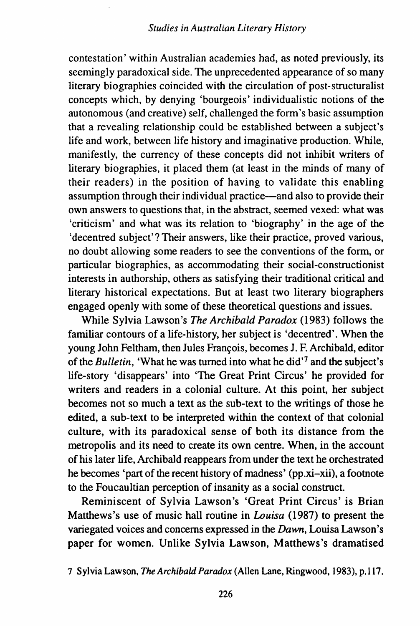contestation' within Australian academies had, as noted previously, its seemingly paradoxical side. The unprecedented appearance of so many literary biographies coincided with the circulation of post-structuralist concepts which, by denying 'bourgeois' individualistic notions of the autonomous (and creative) self, challenged the form's basic assumption that a revealing relationship could be established between a subject's life and work, between life history and imaginative production. While, manifestly, the currency of these concepts did not inhibit writers of literary biographies, it placed them (at least in the minds of many of their readers) in the position of having to validate this enabling assumption through their individual practice-and also to provide their own answers to questions that, in the abstract, seemed vexed: what was 'criticism' and what was its relation to 'biography' in the age of the 'decentred subject'? Their answers, like their practice, proved various, no doubt allowing some readers to see the conventions of the form, or particular biographies, as accommodating their social-constructionist interests in authorship, others as satisfying their traditional critical and literary historical expectations. But at least two literary biographers engaged openly with some of these theoretical questions and issues.

While Sylvia Lawson's *The Archibald Paradox* (1983) follows the familiar contours of a life-history, her subject is 'decentred'. When the young John Feltham, then Jules François, becomes J. F. Archibald, editor of the *Bulletin,* 'What he was turned into what he did'7 and the subject's life-story 'disappears' into 'The Great Print Circus' he provided for writers and readers in a colonial culture. At this point, her subject becomes not so much a text as the sub-text to the writings of those he edited, a sub-text to be interpreted within the context of that colonial culture, with its paradoxical sense of both its distance from the metropolis and its need to create its own centre. When, in the account of his later life, Archibald reappears from under the text he orchestrated he becomes 'part of the recent history of madness' (pp.xi-xii), a footnote to the Foucaultian perception of insanity as a social construct.

Reminiscent of Sylvia Lawson's 'Great Print Circus' is Brian Matthews's use of music hall routine in *Louisa* (1987) to present the variegated voices and concerns expressed in the *Dawn,* Louisa Lawson's paper for women. Unlike Sylvia Lawson, Matthews's dramatised

<sup>7</sup> Sylvia Lawson, *The Archibald Paradox* (Allen Lane, Ringwood, 1983), p.ll7.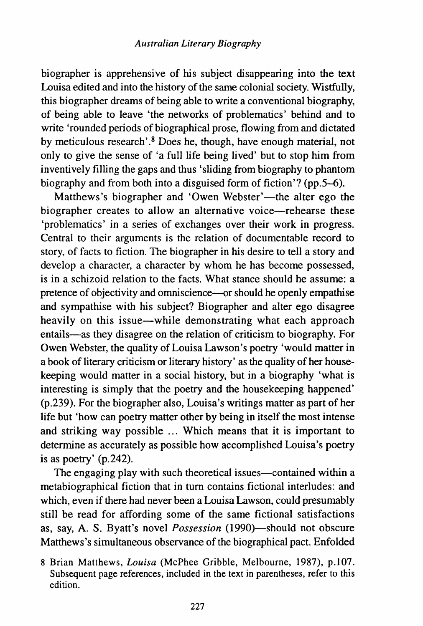biographer is apprehensive of his subject disappearing into the text Louisa edited and into the history of the same colonial society. Wistfully, this biographer dreams of being able to write a conventional biography, of being able to leave 'the networks of problematics' behind and to write 'rounded periods of biographical prose, flowing from and dictated by meticulous research'.8 Does he, though, have enough material, not only to give the sense of 'a full life being lived' but to stop him from inventively filling the gaps and thus 'sliding from biography to phantom biography and from both into a disguised form of fiction'? (pp.5-6).

Matthews's biographer and 'Owen Webster'—the alter ego the biographer creates to allow an alternative voice-rehearse these 'problematics' in a series of exchanges over their work in progress. Central to their arguments is the relation of documentable record to story, of facts to fiction. The biographer in his desire to tell a story and develop a character, a character by whom he has become possessed, is in a schizoid relation to the facts. What stance should he assume: a pretence of objectivity and omniscience-or should he openly empathise and sympathise with his subject? Biographer and alter ego disagree heavily on this issue—while demonstrating what each approach entails-as they disagree on the relation of criticism to biography. For Owen Webster, the quality of Louisa Lawson's poetry 'would matter in a book of literary criticism or literary history' as the quality of her housekeeping would matter in a social history, but in a biography 'what is interesting is simply that the poetry and the housekeeping happened' (p.239). For the biographer also, Louisa's writings matter as part of her life but 'how can poetry matter other by being in itself the most intense and striking way possible ... Which means that it is important to determine as accurately as possible how accomplished Louisa's poetry is as poetry' (p.242).

The engaging play with such theoretical issues—contained within a metabiographical fiction that in turn contains fictional interludes: and which, even if there had never been a Louisa Lawson, could presumably still be read for affording some of the same fictional satisfactions as, say, A. S. Byatt's novel *Possession* (1990)—should not obscure Matthews's simultaneous observance of the biographical pact. Enfolded

<sup>8</sup> Brian Matthews, *Louisa* (McPhee Gribble, Melbourne, 1987), p.107. Subsequent page references, included in the text in parentheses, refer to this edition.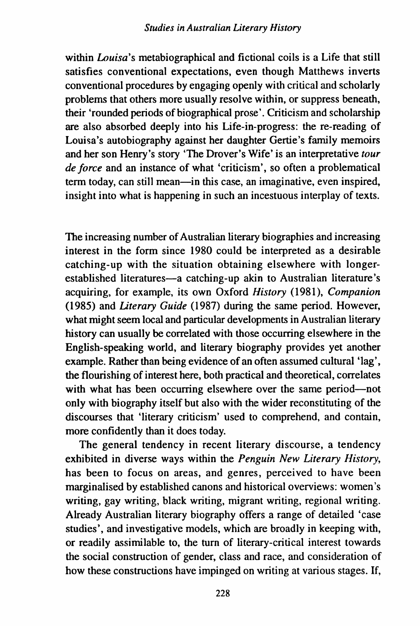within *Louisa's* metabiographical and fictional coils is a Life that still satisfies conventional expectations, even though Matthews inverts conventional procedures by engaging openly with critical and scholarly problems that others more usually resolve within, or suppress beneath, their 'rounded periods of biographical prose'. Criticism and scholarship are also absorbed deeply into his Life-in-progress: the re-reading of Louisa's autobiography against her daughter Gertie's family memoirs and her son Henry's story 'The Drover's Wife' is an interpretative *tour de force* and an instance of what 'criticism', so often a problematical term today, can still mean-in this case, an imaginative, even inspired, insight into what is happening in such an incestuous interplay of texts.

The increasing number of Australian literary biographies and increasing interest in the form since 1980 could be interpreted as a desirable catching-up with the situation obtaining elsewhere with longerestablished literatures-a catching-up akin to Australian literature's acquiring, for example, its own Oxford *History* (1981), *Companion*  (1985) and *Literary Guide* (1987) during the same period. However, what might seem local and particular developments in Australian literary history can usually be correlated with those occurring elsewhere in the English-speaking world, and literary biography provides yet another example. Rather than being evidence of an often assumed cultural 'lag', the flourishing of interest here, both practical and theoretical, correlates with what has been occurring elsewhere over the same period-not only with biography itself but also with the wider reconstituting of the discourses that 'literary criticism' used to comprehend, and contain, more confidently than it does today.

The general tendency in recent literary discourse, a tendency exhibited in diverse ways within the *Penguin New Literary History,*  has been to focus on areas, and genres, perceived to have been marginalised by established canons and historical overviews: women's writing, gay writing, black writing, migrant writing, regional writing. Already Australian literary biography offers a range of detailed 'case studies', and investigative models, which are broadly in keeping with, or readily assimilable to, the tum of literary-critical interest towards the social construction of gender, class and race, and consideration of how these constructions have impinged on writing at various stages. If,